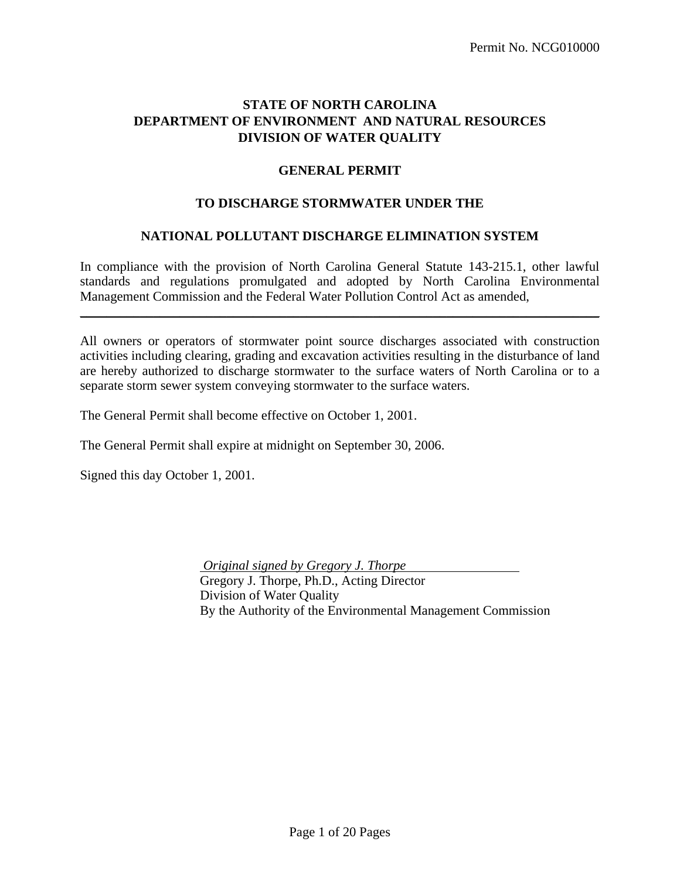# **STATE OF NORTH CAROLINA DEPARTMENT OF ENVIRONMENT AND NATURAL RESOURCES DIVISION OF WATER QUALITY**

## **GENERAL PERMIT**

### **TO DISCHARGE STORMWATER UNDER THE**

#### **NATIONAL POLLUTANT DISCHARGE ELIMINATION SYSTEM**

In compliance with the provision of North Carolina General Statute 143-215.1, other lawful standards and regulations promulgated and adopted by North Carolina Environmental Management Commission and the Federal Water Pollution Control Act as amended,

\_\_\_\_\_\_\_\_\_\_\_\_\_\_\_\_\_\_\_\_\_\_\_\_\_\_\_\_\_\_\_\_\_\_\_\_\_\_\_\_\_\_\_\_\_\_\_\_\_\_\_\_\_\_\_\_\_\_\_\_\_\_\_\_\_\_\_\_\_\_\_\_\_\_\_\_\_\_

All owners or operators of stormwater point source discharges associated with construction activities including clearing, grading and excavation activities resulting in the disturbance of land are hereby authorized to discharge stormwater to the surface waters of North Carolina or to a separate storm sewer system conveying stormwater to the surface waters.

The General Permit shall become effective on October 1, 2001.

The General Permit shall expire at midnight on September 30, 2006.

Signed this day October 1, 2001.

 *Original signed by Gregory J. Thorpe*  Gregory J. Thorpe, Ph.D., Acting Director Division of Water Quality By the Authority of the Environmental Management Commission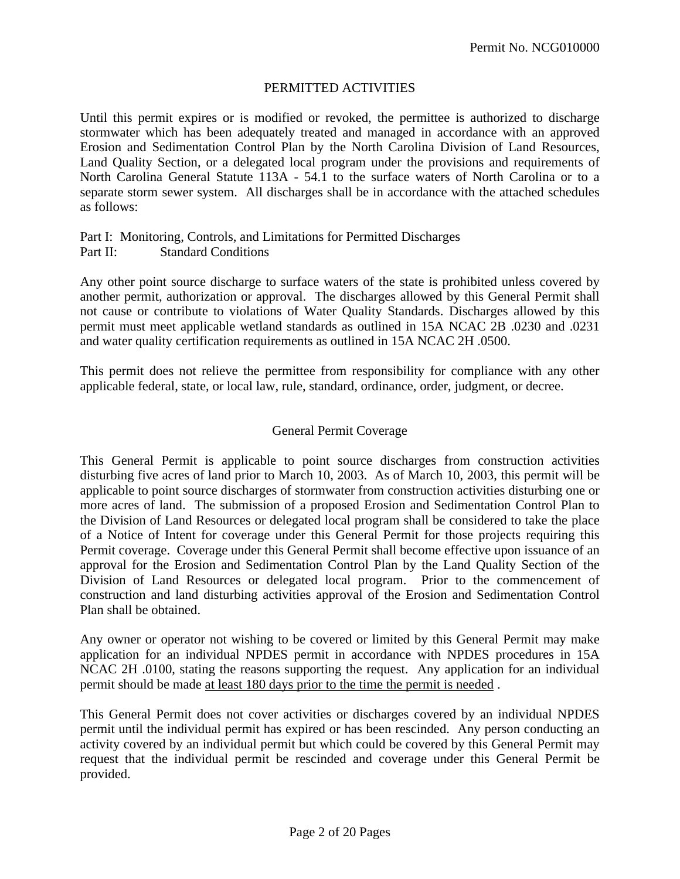# PERMITTED ACTIVITIES

Until this permit expires or is modified or revoked, the permittee is authorized to discharge stormwater which has been adequately treated and managed in accordance with an approved Erosion and Sedimentation Control Plan by the North Carolina Division of Land Resources, Land Quality Section, or a delegated local program under the provisions and requirements of North Carolina General Statute 113A - 54.1 to the surface waters of North Carolina or to a separate storm sewer system. All discharges shall be in accordance with the attached schedules as follows:

#### Part I: Monitoring, Controls, and Limitations for Permitted Discharges Part II: Standard Conditions

Any other point source discharge to surface waters of the state is prohibited unless covered by another permit, authorization or approval. The discharges allowed by this General Permit shall not cause or contribute to violations of Water Quality Standards. Discharges allowed by this permit must meet applicable wetland standards as outlined in 15A NCAC 2B .0230 and .0231 and water quality certification requirements as outlined in 15A NCAC 2H .0500.

This permit does not relieve the permittee from responsibility for compliance with any other applicable federal, state, or local law, rule, standard, ordinance, order, judgment, or decree.

## General Permit Coverage

This General Permit is applicable to point source discharges from construction activities disturbing five acres of land prior to March 10, 2003. As of March 10, 2003, this permit will be applicable to point source discharges of stormwater from construction activities disturbing one or more acres of land. The submission of a proposed Erosion and Sedimentation Control Plan to the Division of Land Resources or delegated local program shall be considered to take the place of a Notice of Intent for coverage under this General Permit for those projects requiring this Permit coverage. Coverage under this General Permit shall become effective upon issuance of an approval for the Erosion and Sedimentation Control Plan by the Land Quality Section of the Division of Land Resources or delegated local program. Prior to the commencement of construction and land disturbing activities approval of the Erosion and Sedimentation Control Plan shall be obtained.

Any owner or operator not wishing to be covered or limited by this General Permit may make application for an individual NPDES permit in accordance with NPDES procedures in 15A NCAC 2H .0100, stating the reasons supporting the request. Any application for an individual permit should be made at least 180 days prior to the time the permit is needed .

This General Permit does not cover activities or discharges covered by an individual NPDES permit until the individual permit has expired or has been rescinded. Any person conducting an activity covered by an individual permit but which could be covered by this General Permit may request that the individual permit be rescinded and coverage under this General Permit be provided.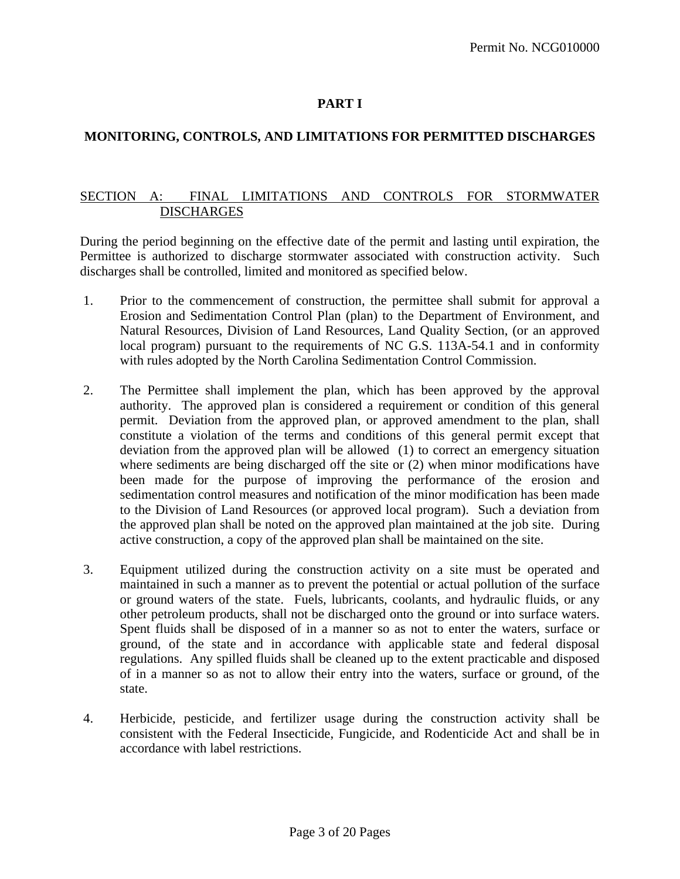# **PART I**

# **MONITORING, CONTROLS, AND LIMITATIONS FOR PERMITTED DISCHARGES**

## SECTION A: FINAL LIMITATIONS AND CONTROLS FOR STORMWATER **DISCHARGES**

During the period beginning on the effective date of the permit and lasting until expiration, the Permittee is authorized to discharge stormwater associated with construction activity. Such discharges shall be controlled, limited and monitored as specified below.

- 1. Prior to the commencement of construction, the permittee shall submit for approval a Erosion and Sedimentation Control Plan (plan) to the Department of Environment, and Natural Resources, Division of Land Resources, Land Quality Section, (or an approved local program) pursuant to the requirements of NC G.S. 113A-54.1 and in conformity with rules adopted by the North Carolina Sedimentation Control Commission.
- 2. The Permittee shall implement the plan, which has been approved by the approval authority. The approved plan is considered a requirement or condition of this general permit. Deviation from the approved plan, or approved amendment to the plan, shall constitute a violation of the terms and conditions of this general permit except that deviation from the approved plan will be allowed (1) to correct an emergency situation where sediments are being discharged off the site or (2) when minor modifications have been made for the purpose of improving the performance of the erosion and sedimentation control measures and notification of the minor modification has been made to the Division of Land Resources (or approved local program). Such a deviation from the approved plan shall be noted on the approved plan maintained at the job site. During active construction, a copy of the approved plan shall be maintained on the site.
- 3. Equipment utilized during the construction activity on a site must be operated and maintained in such a manner as to prevent the potential or actual pollution of the surface or ground waters of the state. Fuels, lubricants, coolants, and hydraulic fluids, or any other petroleum products, shall not be discharged onto the ground or into surface waters. Spent fluids shall be disposed of in a manner so as not to enter the waters, surface or ground, of the state and in accordance with applicable state and federal disposal regulations. Any spilled fluids shall be cleaned up to the extent practicable and disposed of in a manner so as not to allow their entry into the waters, surface or ground, of the state.
- 4. Herbicide, pesticide, and fertilizer usage during the construction activity shall be consistent with the Federal Insecticide, Fungicide, and Rodenticide Act and shall be in accordance with label restrictions.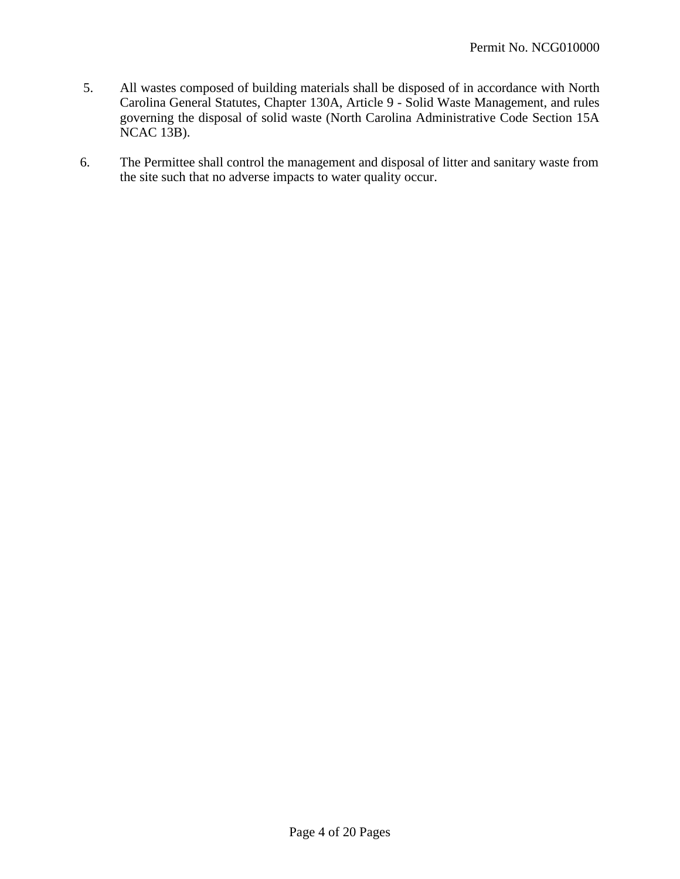- 5. All wastes composed of building materials shall be disposed of in accordance with North Carolina General Statutes, Chapter 130A, Article 9 - Solid Waste Management, and rules governing the disposal of solid waste (North Carolina Administrative Code Section 15A NCAC 13B).
- 6. The Permittee shall control the management and disposal of litter and sanitary waste from the site such that no adverse impacts to water quality occur.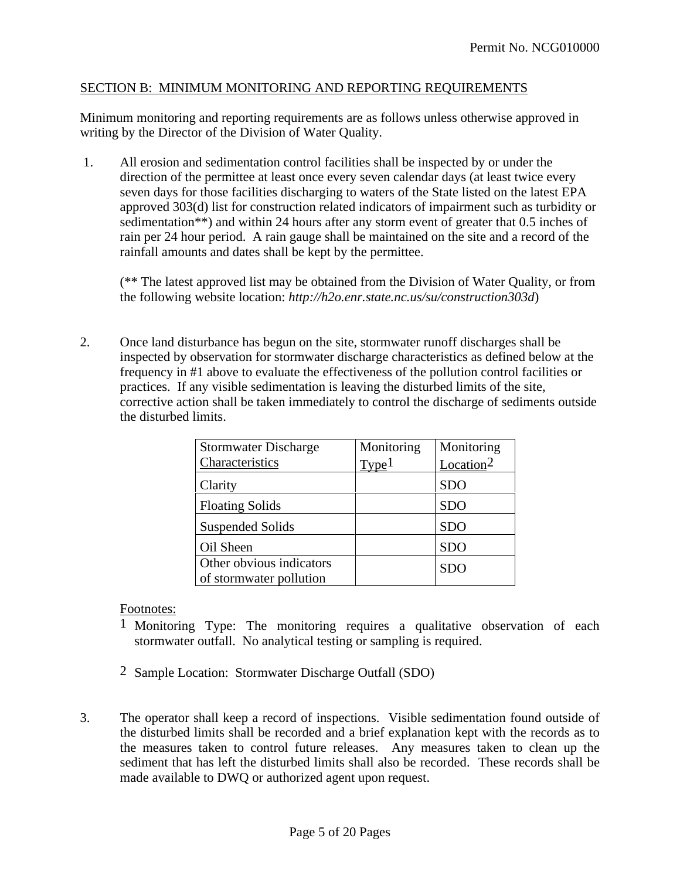## SECTION B: MINIMUM MONITORING AND REPORTING REQUIREMENTS

Minimum monitoring and reporting requirements are as follows unless otherwise approved in writing by the Director of the Division of Water Quality.

1. All erosion and sedimentation control facilities shall be inspected by or under the direction of the permittee at least once every seven calendar days (at least twice every seven days for those facilities discharging to waters of the State listed on the latest EPA approved 303(d) list for construction related indicators of impairment such as turbidity or sedimentation\*\*) and within 24 hours after any storm event of greater that 0.5 inches of rain per 24 hour period. A rain gauge shall be maintained on the site and a record of the rainfall amounts and dates shall be kept by the permittee.

(\*\* The latest approved list may be obtained from the Division of Water Quality, or from the following website location: *http://h2o.enr.state.nc.us/su/construction303d*)

2. Once land disturbance has begun on the site, stormwater runoff discharges shall be inspected by observation for stormwater discharge characteristics as defined below at the frequency in #1 above to evaluate the effectiveness of the pollution control facilities or practices. If any visible sedimentation is leaving the disturbed limits of the site, corrective action shall be taken immediately to control the discharge of sediments outside the disturbed limits.

| <b>Stormwater Discharge</b>                         | Monitoring        | Monitoring            |
|-----------------------------------------------------|-------------------|-----------------------|
| Characteristics                                     | Type <sup>1</sup> | Location <sup>2</sup> |
| Clarity                                             |                   | <b>SDO</b>            |
| <b>Floating Solids</b>                              |                   | <b>SDO</b>            |
| <b>Suspended Solids</b>                             |                   | <b>SDO</b>            |
| Oil Sheen                                           |                   | <b>SDO</b>            |
| Other obvious indicators<br>of stormwater pollution |                   | <b>SDO</b>            |

## Footnotes:

- 1 Monitoring Type: The monitoring requires a qualitative observation of each stormwater outfall. No analytical testing or sampling is required.
- 2 Sample Location: Stormwater Discharge Outfall (SDO)
- 3. The operator shall keep a record of inspections. Visible sedimentation found outside of the disturbed limits shall be recorded and a brief explanation kept with the records as to the measures taken to control future releases. Any measures taken to clean up the sediment that has left the disturbed limits shall also be recorded. These records shall be made available to DWQ or authorized agent upon request.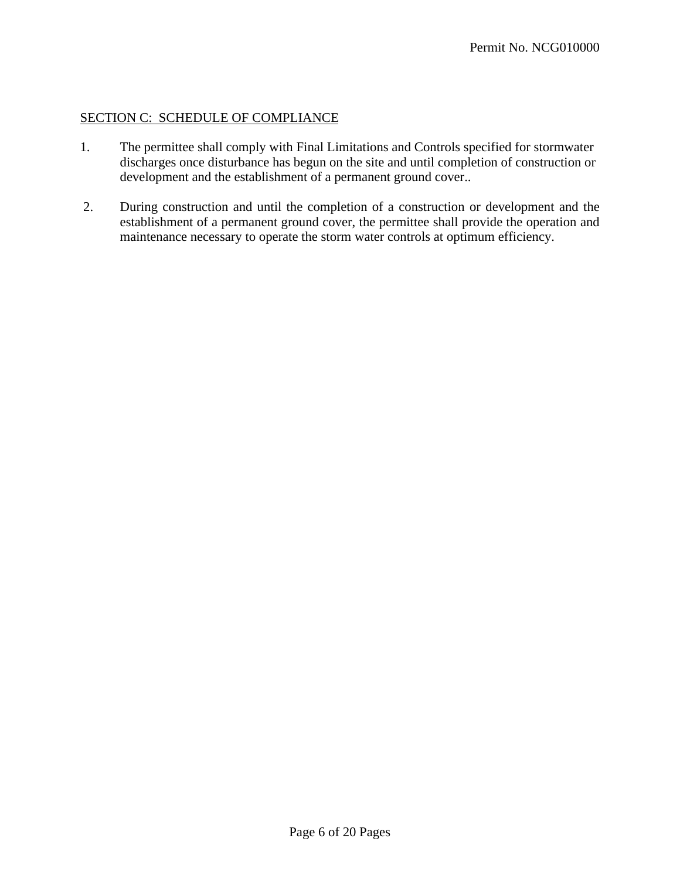## SECTION C: SCHEDULE OF COMPLIANCE

- 1. The permittee shall comply with Final Limitations and Controls specified for stormwater discharges once disturbance has begun on the site and until completion of construction or development and the establishment of a permanent ground cover..
- 2. During construction and until the completion of a construction or development and the establishment of a permanent ground cover, the permittee shall provide the operation and maintenance necessary to operate the storm water controls at optimum efficiency.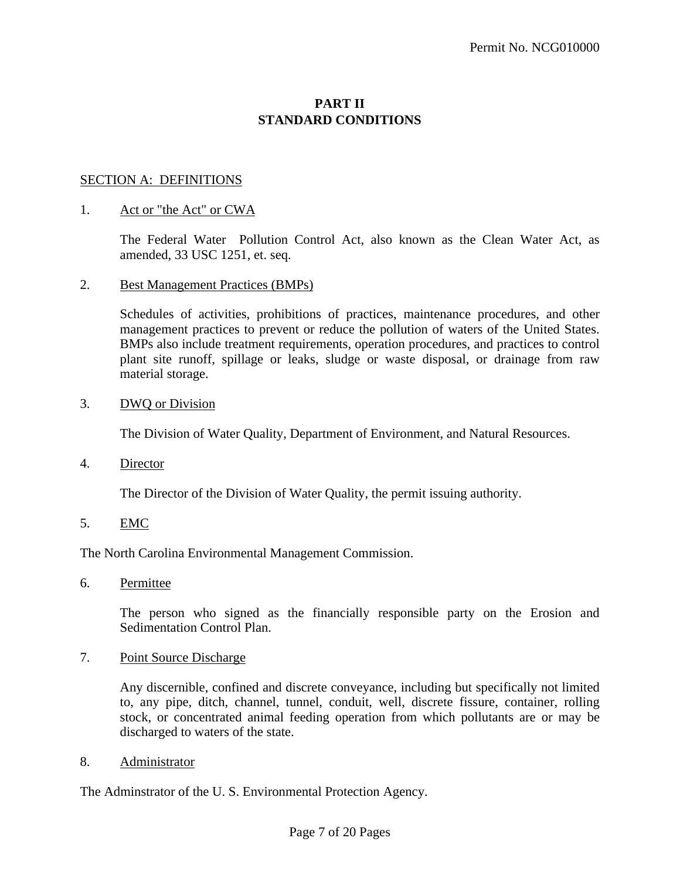# **PART II STANDARD CONDITIONS**

## SECTION A: DEFINITIONS

#### 1. Act or "the Act" or CWA

The Federal Water Pollution Control Act, also known as the Clean Water Act, as amended, 33 USC 1251, et. seq.

#### 2. Best Management Practices (BMPs)

Schedules of activities, prohibitions of practices, maintenance procedures, and other management practices to prevent or reduce the pollution of waters of the United States. BMPs also include treatment requirements, operation procedures, and practices to control plant site runoff, spillage or leaks, sludge or waste disposal, or drainage from raw material storage.

#### 3. DWQ or Division

The Division of Water Quality, Department of Environment, and Natural Resources.

4. Director

The Director of the Division of Water Quality, the permit issuing authority.

5. EMC

The North Carolina Environmental Management Commission.

6. Permittee

The person who signed as the financially responsible party on the Erosion and Sedimentation Control Plan.

7. Point Source Discharge

Any discernible, confined and discrete conveyance, including but specifically not limited to, any pipe, ditch, channel, tunnel, conduit, well, discrete fissure, container, rolling stock, or concentrated animal feeding operation from which pollutants are or may be discharged to waters of the state.

8. Administrator

The Adminstrator of the U. S. Environmental Protection Agency.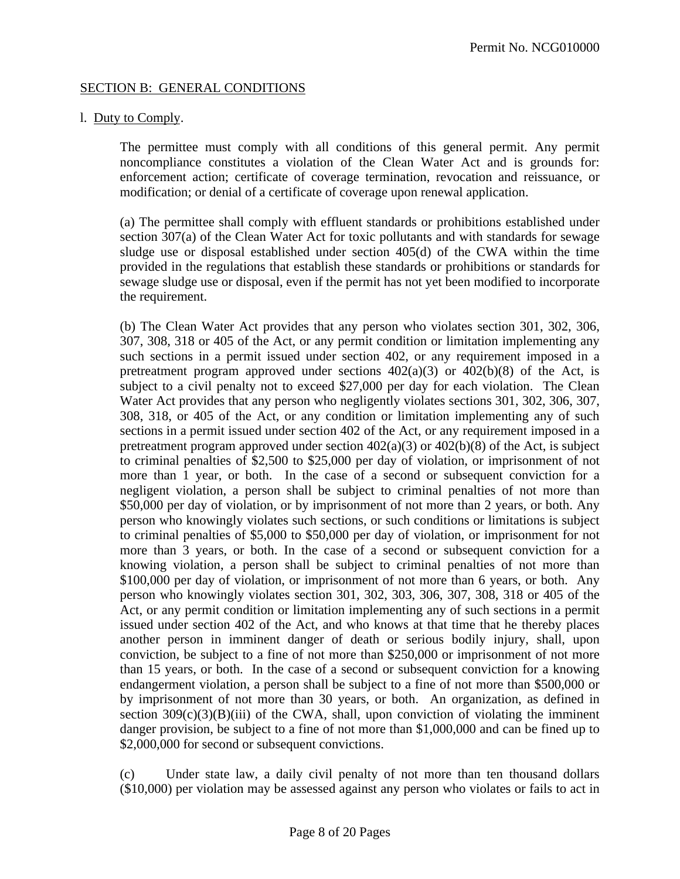## SECTION B: GENERAL CONDITIONS

### l. Duty to Comply.

The permittee must comply with all conditions of this general permit. Any permit noncompliance constitutes a violation of the Clean Water Act and is grounds for: enforcement action; certificate of coverage termination, revocation and reissuance, or modification; or denial of a certificate of coverage upon renewal application.

(a) The permittee shall comply with effluent standards or prohibitions established under section 307(a) of the Clean Water Act for toxic pollutants and with standards for sewage sludge use or disposal established under section 405(d) of the CWA within the time provided in the regulations that establish these standards or prohibitions or standards for sewage sludge use or disposal, even if the permit has not yet been modified to incorporate the requirement.

(b) The Clean Water Act provides that any person who violates section 301, 302, 306, 307, 308, 318 or 405 of the Act, or any permit condition or limitation implementing any such sections in a permit issued under section 402, or any requirement imposed in a pretreatment program approved under sections  $402(a)(3)$  or  $402(b)(8)$  of the Act, is subject to a civil penalty not to exceed \$27,000 per day for each violation. The Clean Water Act provides that any person who negligently violates sections 301, 302, 306, 307, 308, 318, or 405 of the Act, or any condition or limitation implementing any of such sections in a permit issued under section 402 of the Act, or any requirement imposed in a pretreatment program approved under section  $402(a)(3)$  or  $402(b)(8)$  of the Act, is subject to criminal penalties of \$2,500 to \$25,000 per day of violation, or imprisonment of not more than 1 year, or both. In the case of a second or subsequent conviction for a negligent violation, a person shall be subject to criminal penalties of not more than \$50,000 per day of violation, or by imprisonment of not more than 2 years, or both. Any person who knowingly violates such sections, or such conditions or limitations is subject to criminal penalties of \$5,000 to \$50,000 per day of violation, or imprisonment for not more than 3 years, or both. In the case of a second or subsequent conviction for a knowing violation, a person shall be subject to criminal penalties of not more than \$100,000 per day of violation, or imprisonment of not more than 6 years, or both. Any person who knowingly violates section 301, 302, 303, 306, 307, 308, 318 or 405 of the Act, or any permit condition or limitation implementing any of such sections in a permit issued under section 402 of the Act, and who knows at that time that he thereby places another person in imminent danger of death or serious bodily injury, shall, upon conviction, be subject to a fine of not more than \$250,000 or imprisonment of not more than 15 years, or both. In the case of a second or subsequent conviction for a knowing endangerment violation, a person shall be subject to a fine of not more than \$500,000 or by imprisonment of not more than 30 years, or both. An organization, as defined in section  $309(c)(3)(B)(iii)$  of the CWA, shall, upon conviction of violating the imminent danger provision, be subject to a fine of not more than \$1,000,000 and can be fined up to \$2,000,000 for second or subsequent convictions.

(c) Under state law, a daily civil penalty of not more than ten thousand dollars (\$10,000) per violation may be assessed against any person who violates or fails to act in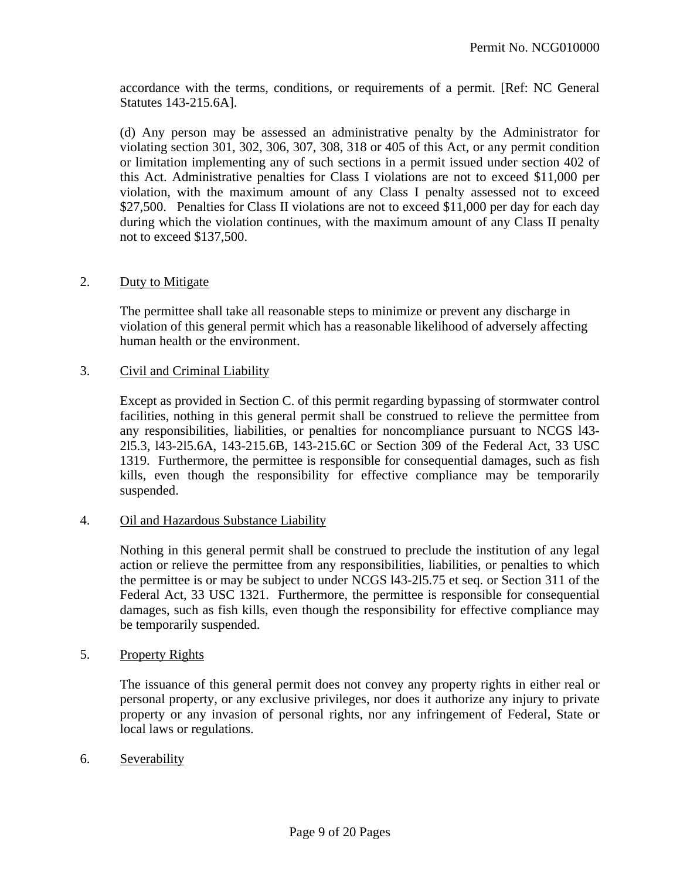accordance with the terms, conditions, or requirements of a permit. [Ref: NC General Statutes 143-215.6A].

(d) Any person may be assessed an administrative penalty by the Administrator for violating section 301, 302, 306, 307, 308, 318 or 405 of this Act, or any permit condition or limitation implementing any of such sections in a permit issued under section 402 of this Act. Administrative penalties for Class I violations are not to exceed \$11,000 per violation, with the maximum amount of any Class I penalty assessed not to exceed \$27,500. Penalties for Class II violations are not to exceed \$11,000 per day for each day during which the violation continues, with the maximum amount of any Class II penalty not to exceed \$137,500.

## 2. Duty to Mitigate

The permittee shall take all reasonable steps to minimize or prevent any discharge in violation of this general permit which has a reasonable likelihood of adversely affecting human health or the environment.

#### 3. Civil and Criminal Liability

Except as provided in Section C. of this permit regarding bypassing of stormwater control facilities, nothing in this general permit shall be construed to relieve the permittee from any responsibilities, liabilities, or penalties for noncompliance pursuant to NCGS l43- 2l5.3, l43-2l5.6A, 143-215.6B, 143-215.6C or Section 309 of the Federal Act, 33 USC 1319. Furthermore, the permittee is responsible for consequential damages, such as fish kills, even though the responsibility for effective compliance may be temporarily suspended.

#### 4. Oil and Hazardous Substance Liability

Nothing in this general permit shall be construed to preclude the institution of any legal action or relieve the permittee from any responsibilities, liabilities, or penalties to which the permittee is or may be subject to under NCGS l43-2l5.75 et seq. or Section 311 of the Federal Act, 33 USC 1321. Furthermore, the permittee is responsible for consequential damages, such as fish kills, even though the responsibility for effective compliance may be temporarily suspended.

## 5. Property Rights

The issuance of this general permit does not convey any property rights in either real or personal property, or any exclusive privileges, nor does it authorize any injury to private property or any invasion of personal rights, nor any infringement of Federal, State or local laws or regulations.

6. Severability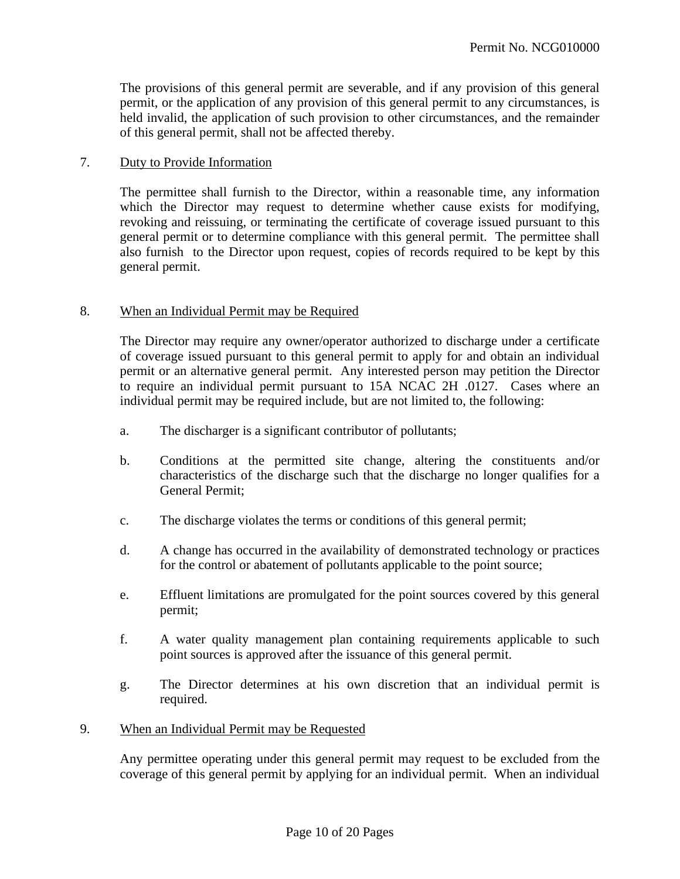The provisions of this general permit are severable, and if any provision of this general permit, or the application of any provision of this general permit to any circumstances, is held invalid, the application of such provision to other circumstances, and the remainder of this general permit, shall not be affected thereby.

## 7. Duty to Provide Information

The permittee shall furnish to the Director, within a reasonable time, any information which the Director may request to determine whether cause exists for modifying, revoking and reissuing, or terminating the certificate of coverage issued pursuant to this general permit or to determine compliance with this general permit. The permittee shall also furnish to the Director upon request, copies of records required to be kept by this general permit.

## 8. When an Individual Permit may be Required

The Director may require any owner/operator authorized to discharge under a certificate of coverage issued pursuant to this general permit to apply for and obtain an individual permit or an alternative general permit. Any interested person may petition the Director to require an individual permit pursuant to 15A NCAC 2H .0127. Cases where an individual permit may be required include, but are not limited to, the following:

- a. The discharger is a significant contributor of pollutants;
- b. Conditions at the permitted site change, altering the constituents and/or characteristics of the discharge such that the discharge no longer qualifies for a General Permit;
- c. The discharge violates the terms or conditions of this general permit;
- d. A change has occurred in the availability of demonstrated technology or practices for the control or abatement of pollutants applicable to the point source;
- e. Effluent limitations are promulgated for the point sources covered by this general permit;
- f. A water quality management plan containing requirements applicable to such point sources is approved after the issuance of this general permit.
- g. The Director determines at his own discretion that an individual permit is required.
- 9. When an Individual Permit may be Requested

Any permittee operating under this general permit may request to be excluded from the coverage of this general permit by applying for an individual permit. When an individual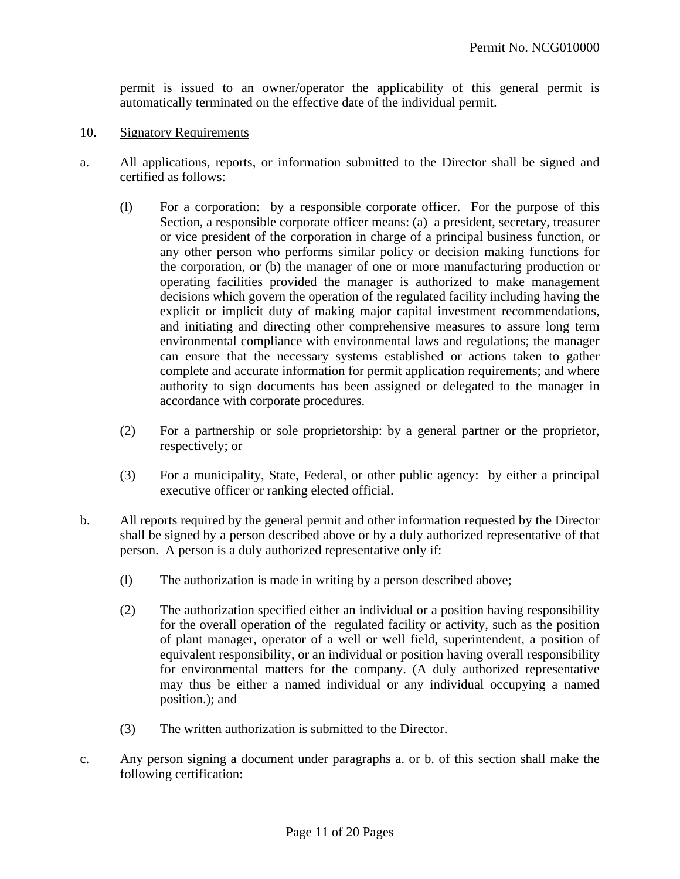permit is issued to an owner/operator the applicability of this general permit is automatically terminated on the effective date of the individual permit.

- 10. Signatory Requirements
- a. All applications, reports, or information submitted to the Director shall be signed and certified as follows:
	- (l) For a corporation: by a responsible corporate officer. For the purpose of this Section, a responsible corporate officer means: (a) a president, secretary, treasurer or vice president of the corporation in charge of a principal business function, or any other person who performs similar policy or decision making functions for the corporation, or (b) the manager of one or more manufacturing production or operating facilities provided the manager is authorized to make management decisions which govern the operation of the regulated facility including having the explicit or implicit duty of making major capital investment recommendations, and initiating and directing other comprehensive measures to assure long term environmental compliance with environmental laws and regulations; the manager can ensure that the necessary systems established or actions taken to gather complete and accurate information for permit application requirements; and where authority to sign documents has been assigned or delegated to the manager in accordance with corporate procedures.
	- (2) For a partnership or sole proprietorship: by a general partner or the proprietor, respectively; or
	- (3) For a municipality, State, Federal, or other public agency: by either a principal executive officer or ranking elected official.
- b. All reports required by the general permit and other information requested by the Director shall be signed by a person described above or by a duly authorized representative of that person. A person is a duly authorized representative only if:
	- (l) The authorization is made in writing by a person described above;
	- (2) The authorization specified either an individual or a position having responsibility for the overall operation of the regulated facility or activity, such as the position of plant manager, operator of a well or well field, superintendent, a position of equivalent responsibility, or an individual or position having overall responsibility for environmental matters for the company. (A duly authorized representative may thus be either a named individual or any individual occupying a named position.); and
	- (3) The written authorization is submitted to the Director.
- c. Any person signing a document under paragraphs a. or b. of this section shall make the following certification: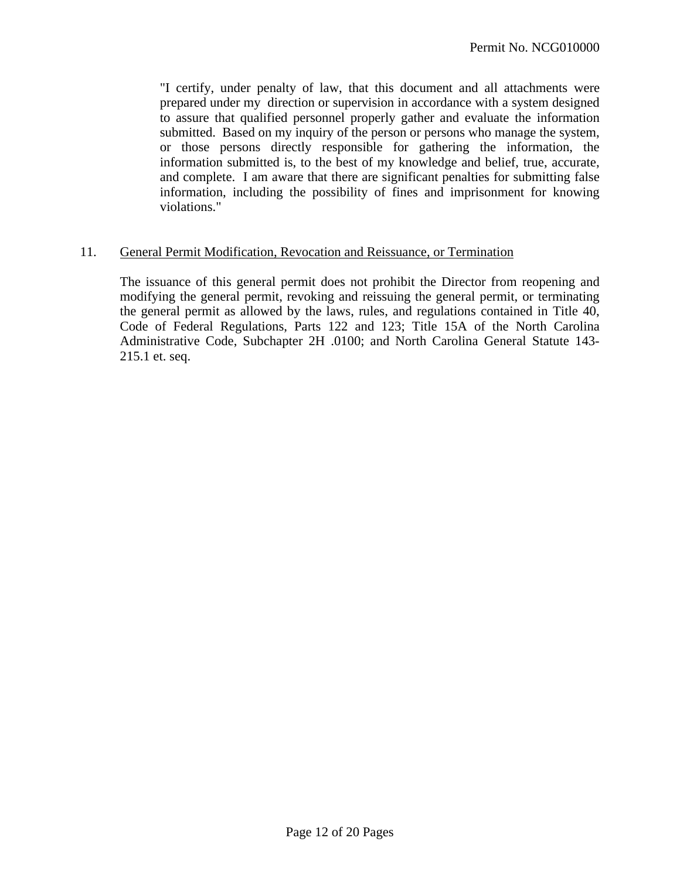"I certify, under penalty of law, that this document and all attachments were prepared under my direction or supervision in accordance with a system designed to assure that qualified personnel properly gather and evaluate the information submitted. Based on my inquiry of the person or persons who manage the system, or those persons directly responsible for gathering the information, the information submitted is, to the best of my knowledge and belief, true, accurate, and complete. I am aware that there are significant penalties for submitting false information, including the possibility of fines and imprisonment for knowing violations."

#### 11. General Permit Modification, Revocation and Reissuance, or Termination

The issuance of this general permit does not prohibit the Director from reopening and modifying the general permit, revoking and reissuing the general permit, or terminating the general permit as allowed by the laws, rules, and regulations contained in Title 40, Code of Federal Regulations, Parts 122 and 123; Title 15A of the North Carolina Administrative Code, Subchapter 2H .0100; and North Carolina General Statute 143- 215.1 et. seq.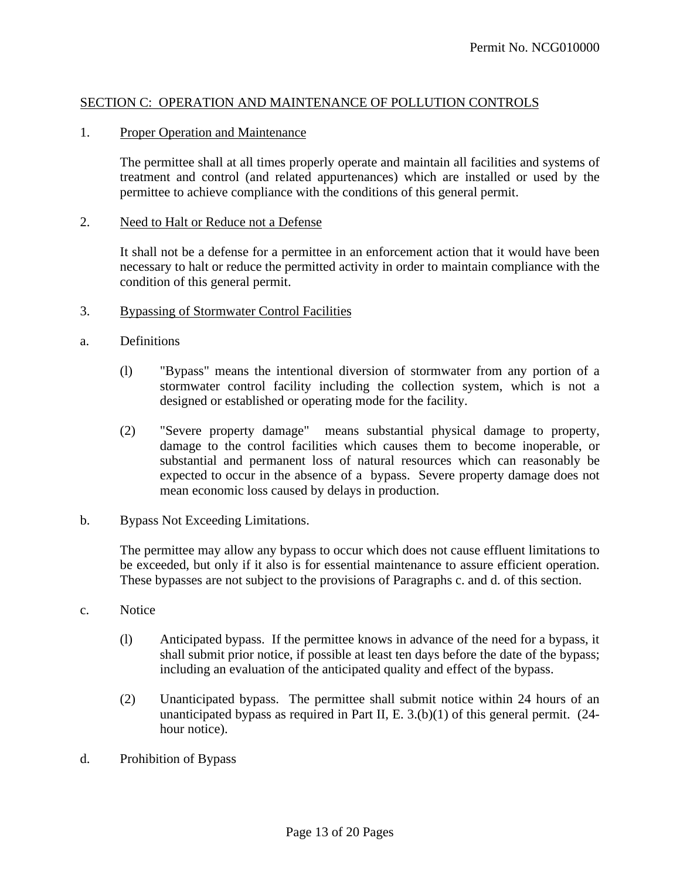## SECTION C: OPERATION AND MAINTENANCE OF POLLUTION CONTROLS

#### 1. Proper Operation and Maintenance

The permittee shall at all times properly operate and maintain all facilities and systems of treatment and control (and related appurtenances) which are installed or used by the permittee to achieve compliance with the conditions of this general permit.

#### 2. Need to Halt or Reduce not a Defense

It shall not be a defense for a permittee in an enforcement action that it would have been necessary to halt or reduce the permitted activity in order to maintain compliance with the condition of this general permit.

#### 3. Bypassing of Stormwater Control Facilities

- a. Definitions
	- (l) "Bypass" means the intentional diversion of stormwater from any portion of a stormwater control facility including the collection system, which is not a designed or established or operating mode for the facility.
	- (2) "Severe property damage" means substantial physical damage to property, damage to the control facilities which causes them to become inoperable, or substantial and permanent loss of natural resources which can reasonably be expected to occur in the absence of a bypass. Severe property damage does not mean economic loss caused by delays in production.
- b. Bypass Not Exceeding Limitations.

The permittee may allow any bypass to occur which does not cause effluent limitations to be exceeded, but only if it also is for essential maintenance to assure efficient operation. These bypasses are not subject to the provisions of Paragraphs c. and d. of this section.

- c. Notice
	- (l) Anticipated bypass. If the permittee knows in advance of the need for a bypass, it shall submit prior notice, if possible at least ten days before the date of the bypass; including an evaluation of the anticipated quality and effect of the bypass.
	- (2) Unanticipated bypass. The permittee shall submit notice within 24 hours of an unanticipated bypass as required in Part II, E. 3.(b)(1) of this general permit. (24 hour notice).
- d. Prohibition of Bypass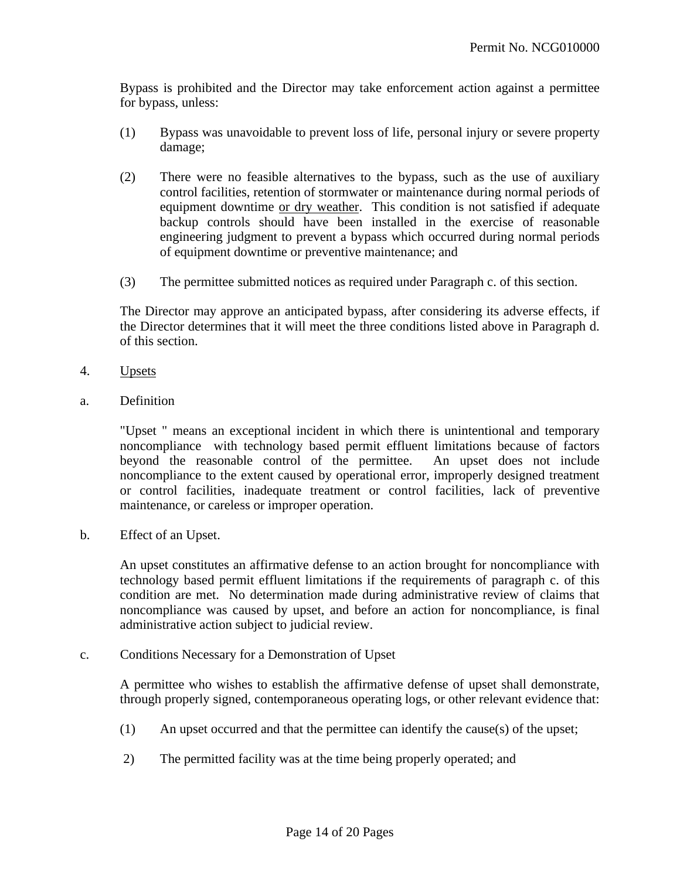Bypass is prohibited and the Director may take enforcement action against a permittee for bypass, unless:

- (1) Bypass was unavoidable to prevent loss of life, personal injury or severe property damage;
- (2) There were no feasible alternatives to the bypass, such as the use of auxiliary control facilities, retention of stormwater or maintenance during normal periods of equipment downtime or dry weather. This condition is not satisfied if adequate backup controls should have been installed in the exercise of reasonable engineering judgment to prevent a bypass which occurred during normal periods of equipment downtime or preventive maintenance; and
- (3) The permittee submitted notices as required under Paragraph c. of this section.

The Director may approve an anticipated bypass, after considering its adverse effects, if the Director determines that it will meet the three conditions listed above in Paragraph d. of this section.

- 4. Upsets
- a. Definition

"Upset " means an exceptional incident in which there is unintentional and temporary noncompliance with technology based permit effluent limitations because of factors beyond the reasonable control of the permittee. An upset does not include noncompliance to the extent caused by operational error, improperly designed treatment or control facilities, inadequate treatment or control facilities, lack of preventive maintenance, or careless or improper operation.

b. Effect of an Upset.

An upset constitutes an affirmative defense to an action brought for noncompliance with technology based permit effluent limitations if the requirements of paragraph c. of this condition are met. No determination made during administrative review of claims that noncompliance was caused by upset, and before an action for noncompliance, is final administrative action subject to judicial review.

c. Conditions Necessary for a Demonstration of Upset

A permittee who wishes to establish the affirmative defense of upset shall demonstrate, through properly signed, contemporaneous operating logs, or other relevant evidence that:

- (1) An upset occurred and that the permittee can identify the cause(s) of the upset;
- 2) The permitted facility was at the time being properly operated; and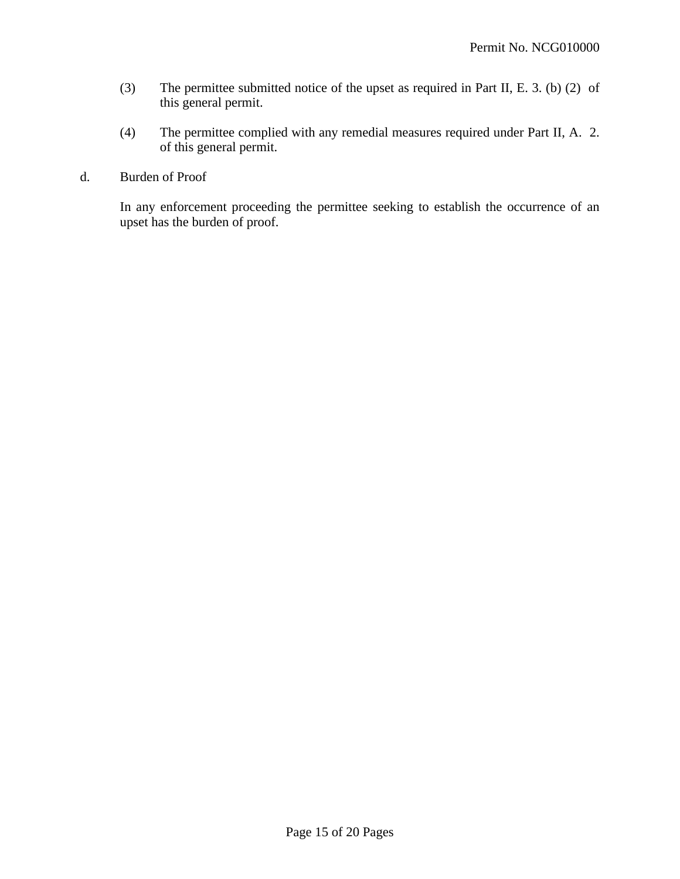- (3) The permittee submitted notice of the upset as required in Part II, E. 3. (b) (2) of this general permit.
- (4) The permittee complied with any remedial measures required under Part II, A. 2. of this general permit.
- d. Burden of Proof

In any enforcement proceeding the permittee seeking to establish the occurrence of an upset has the burden of proof.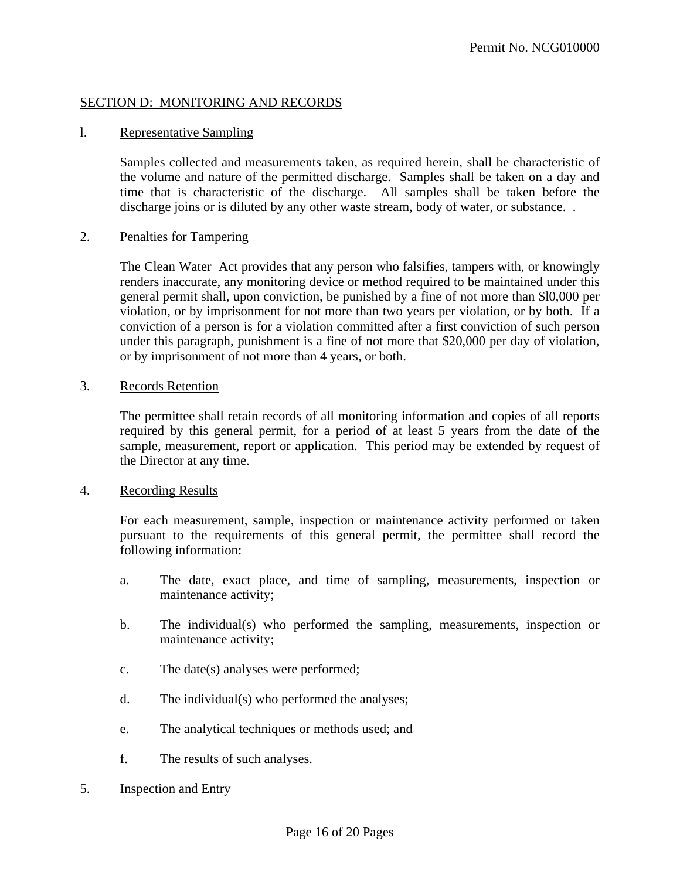## SECTION D: MONITORING AND RECORDS

### l. Representative Sampling

Samples collected and measurements taken, as required herein, shall be characteristic of the volume and nature of the permitted discharge. Samples shall be taken on a day and time that is characteristic of the discharge. All samples shall be taken before the discharge joins or is diluted by any other waste stream, body of water, or substance...

#### 2. Penalties for Tampering

The Clean Water Act provides that any person who falsifies, tampers with, or knowingly renders inaccurate, any monitoring device or method required to be maintained under this general permit shall, upon conviction, be punished by a fine of not more than \$l0,000 per violation, or by imprisonment for not more than two years per violation, or by both. If a conviction of a person is for a violation committed after a first conviction of such person under this paragraph, punishment is a fine of not more that \$20,000 per day of violation, or by imprisonment of not more than 4 years, or both.

### 3. Records Retention

The permittee shall retain records of all monitoring information and copies of all reports required by this general permit, for a period of at least 5 years from the date of the sample, measurement, report or application. This period may be extended by request of the Director at any time.

#### 4. Recording Results

For each measurement, sample, inspection or maintenance activity performed or taken pursuant to the requirements of this general permit, the permittee shall record the following information:

- a. The date, exact place, and time of sampling, measurements, inspection or maintenance activity;
- b. The individual(s) who performed the sampling, measurements, inspection or maintenance activity;
- c. The date(s) analyses were performed;
- d. The individual(s) who performed the analyses;
- e. The analytical techniques or methods used; and
- f. The results of such analyses.
- 5. Inspection and Entry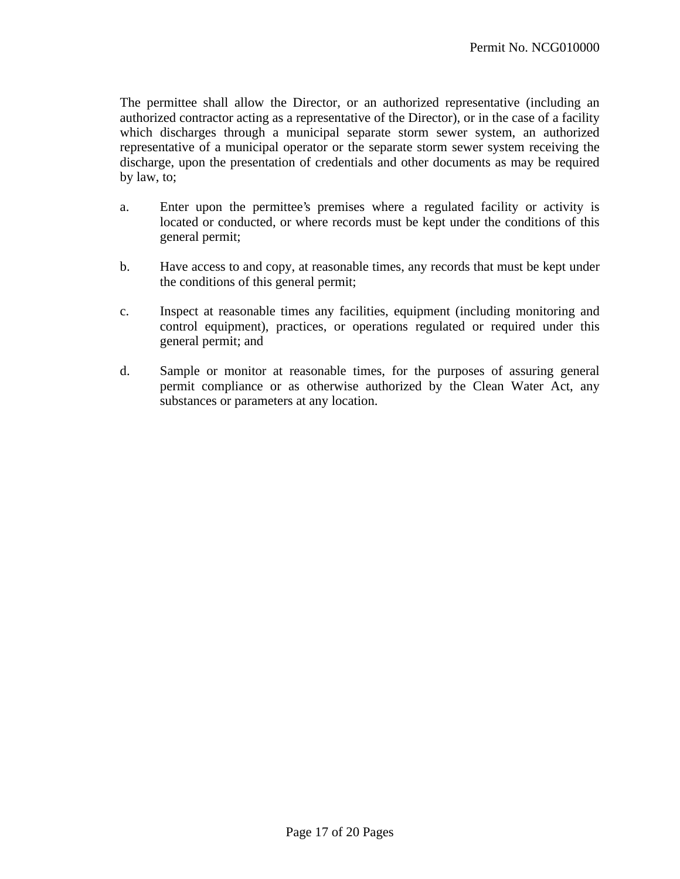The permittee shall allow the Director, or an authorized representative (including an authorized contractor acting as a representative of the Director), or in the case of a facility which discharges through a municipal separate storm sewer system, an authorized representative of a municipal operator or the separate storm sewer system receiving the discharge, upon the presentation of credentials and other documents as may be required by law, to;

- a. Enter upon the permittee's premises where a regulated facility or activity is located or conducted, or where records must be kept under the conditions of this general permit;
- b. Have access to and copy, at reasonable times, any records that must be kept under the conditions of this general permit;
- c. Inspect at reasonable times any facilities, equipment (including monitoring and control equipment), practices, or operations regulated or required under this general permit; and
- d. Sample or monitor at reasonable times, for the purposes of assuring general permit compliance or as otherwise authorized by the Clean Water Act, any substances or parameters at any location.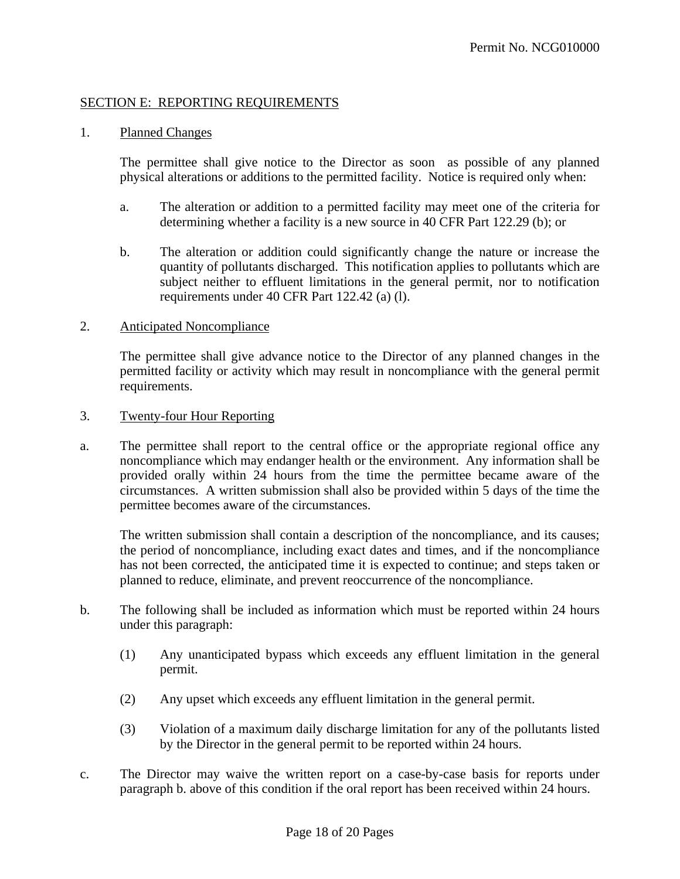## SECTION E: REPORTING REQUIREMENTS

### 1. Planned Changes

The permittee shall give notice to the Director as soon as possible of any planned physical alterations or additions to the permitted facility. Notice is required only when:

- a. The alteration or addition to a permitted facility may meet one of the criteria for determining whether a facility is a new source in 40 CFR Part 122.29 (b); or
- b. The alteration or addition could significantly change the nature or increase the quantity of pollutants discharged. This notification applies to pollutants which are subject neither to effluent limitations in the general permit, nor to notification requirements under 40 CFR Part 122.42 (a) (l).

#### 2. Anticipated Noncompliance

The permittee shall give advance notice to the Director of any planned changes in the permitted facility or activity which may result in noncompliance with the general permit requirements.

#### 3. Twenty-four Hour Reporting

a. The permittee shall report to the central office or the appropriate regional office any noncompliance which may endanger health or the environment. Any information shall be provided orally within 24 hours from the time the permittee became aware of the circumstances. A written submission shall also be provided within 5 days of the time the permittee becomes aware of the circumstances.

The written submission shall contain a description of the noncompliance, and its causes; the period of noncompliance, including exact dates and times, and if the noncompliance has not been corrected, the anticipated time it is expected to continue; and steps taken or planned to reduce, eliminate, and prevent reoccurrence of the noncompliance.

- b. The following shall be included as information which must be reported within 24 hours under this paragraph:
	- (1) Any unanticipated bypass which exceeds any effluent limitation in the general permit.
	- (2) Any upset which exceeds any effluent limitation in the general permit.
	- (3) Violation of a maximum daily discharge limitation for any of the pollutants listed by the Director in the general permit to be reported within 24 hours.
- c. The Director may waive the written report on a case-by-case basis for reports under paragraph b. above of this condition if the oral report has been received within 24 hours.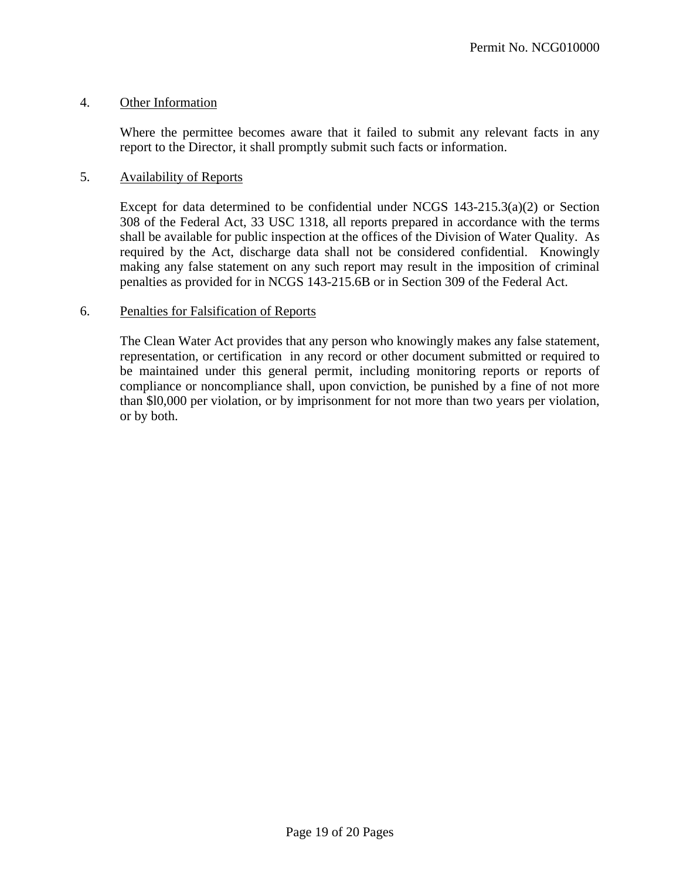## 4. Other Information

Where the permittee becomes aware that it failed to submit any relevant facts in any report to the Director, it shall promptly submit such facts or information.

## 5. Availability of Reports

Except for data determined to be confidential under NCGS 143-215.3(a)(2) or Section 308 of the Federal Act, 33 USC 1318, all reports prepared in accordance with the terms shall be available for public inspection at the offices of the Division of Water Quality. As required by the Act, discharge data shall not be considered confidential. Knowingly making any false statement on any such report may result in the imposition of criminal penalties as provided for in NCGS 143-215.6B or in Section 309 of the Federal Act.

## 6. Penalties for Falsification of Reports

The Clean Water Act provides that any person who knowingly makes any false statement, representation, or certification in any record or other document submitted or required to be maintained under this general permit, including monitoring reports or reports of compliance or noncompliance shall, upon conviction, be punished by a fine of not more than \$l0,000 per violation, or by imprisonment for not more than two years per violation, or by both.